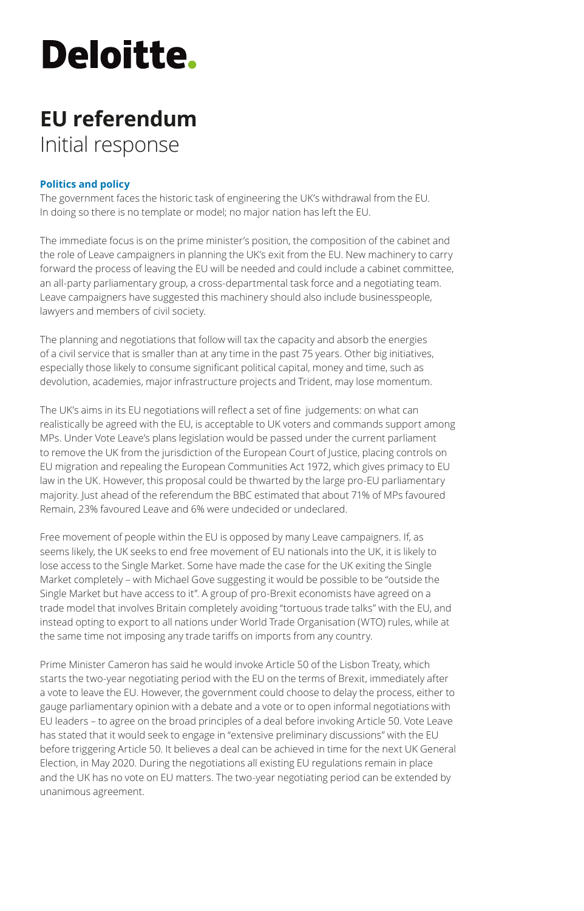# **Deloitte.**

### **EU referendum** Initial response

### **Politics and policy**

The government faces the historic task of engineering the UK's withdrawal from the EU. In doing so there is no template or model; no major nation has left the EU.

The immediate focus is on the prime minister's position, the composition of the cabinet and the role of Leave campaigners in planning the UK's exit from the EU. New machinery to carry forward the process of leaving the EU will be needed and could include a cabinet committee, an all-party parliamentary group, a cross-departmental task force and a negotiating team. Leave campaigners have suggested this machinery should also include businesspeople, lawyers and members of civil society.

The planning and negotiations that follow will tax the capacity and absorb the energies of a civil service that is smaller than at any time in the past 75 years. Other big initiatives, especially those likely to consume significant political capital, money and time, such as devolution, academies, major infrastructure projects and Trident, may lose momentum.

The UK's aims in its EU negotiations will reflect a set of fine judgements: on what can realistically be agreed with the EU, is acceptable to UK voters and commands support among MPs. Under Vote Leave's plans legislation would be passed under the current parliament to remove the UK from the jurisdiction of the European Court of Justice, placing controls on EU migration and repealing the European Communities Act 1972, which gives primacy to EU law in the UK. However, this proposal could be thwarted by the large pro-EU parliamentary majority. Just ahead of the referendum the BBC estimated that about 71% of MPs favoured Remain, 23% favoured Leave and 6% were undecided or undeclared.

Free movement of people within the EU is opposed by many Leave campaigners. If, as seems likely, the UK seeks to end free movement of EU nationals into the UK, it is likely to lose access to the Single Market. Some have made the case for the UK exiting the Single Market completely – with Michael Gove suggesting it would be possible to be "outside the Single Market but have access to it". A group of pro-Brexit economists have agreed on a trade model that involves Britain completely avoiding "tortuous trade talks" with the EU, and instead opting to export to all nations under World Trade Organisation (WTO) rules, while at the same time not imposing any trade tariffs on imports from any country.

Prime Minister Cameron has said he would invoke Article 50 of the Lisbon Treaty, which starts the two-year negotiating period with the EU on the terms of Brexit, immediately after a vote to leave the EU. However, the government could choose to delay the process, either to gauge parliamentary opinion with a debate and a vote or to open informal negotiations with EU leaders – to agree on the broad principles of a deal before invoking Article 50. Vote Leave has stated that it would seek to engage in "extensive preliminary discussions" with the EU before triggering Article 50. It believes a deal can be achieved in time for the next UK General Election, in May 2020. During the negotiations all existing EU regulations remain in place and the UK has no vote on EU matters. The two-year negotiating period can be extended by unanimous agreement.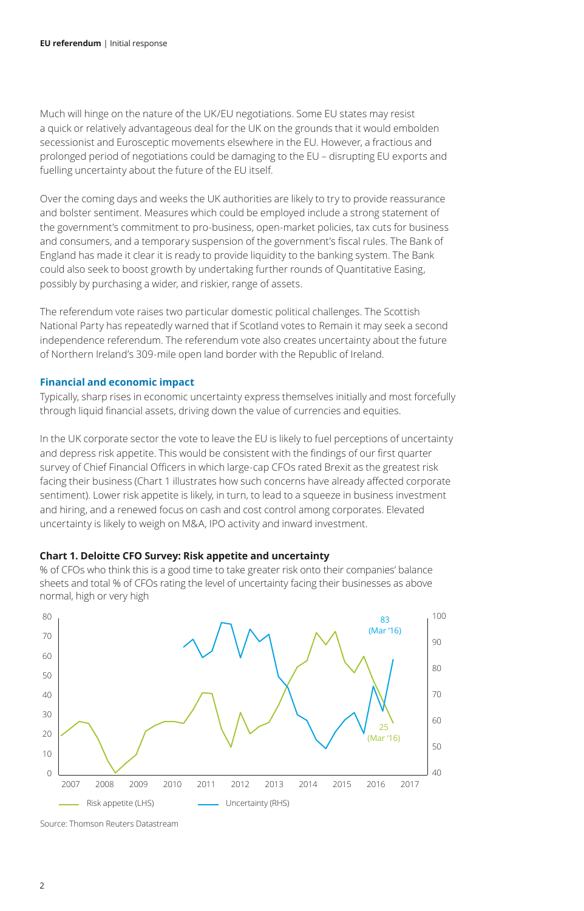Much will hinge on the nature of the UK/EU negotiations. Some EU states may resist a quick or relatively advantageous deal for the UK on the grounds that it would embolden secessionist and Eurosceptic movements elsewhere in the EU. However, a fractious and prolonged period of negotiations could be damaging to the EU – disrupting EU exports and fuelling uncertainty about the future of the EU itself.

Over the coming days and weeks the UK authorities are likely to try to provide reassurance and bolster sentiment. Measures which could be employed include a strong statement of the government's commitment to pro-business, open-market policies, tax cuts for business and consumers, and a temporary suspension of the government's fiscal rules. The Bank of England has made it clear it is ready to provide liquidity to the banking system. The Bank could also seek to boost growth by undertaking further rounds of Quantitative Easing, possibly by purchasing a wider, and riskier, range of assets.

The referendum vote raises two particular domestic political challenges. The Scottish National Party has repeatedly warned that if Scotland votes to Remain it may seek a second independence referendum. The referendum vote also creates uncertainty about the future of Northern Ireland's 309-mile open land border with the Republic of Ireland.

#### **Financial and economic impact**

Typically, sharp rises in economic uncertainty express themselves initially and most forcefully through liquid financial assets, driving down the value of currencies and equities.

In the UK corporate sector the vote to leave the EU is likely to fuel perceptions of uncertainty and depress risk appetite. This would be consistent with the findings of our first quarter survey of Chief Financial Officers in which large-cap CFOs rated Brexit as the greatest risk facing their business (Chart 1 illustrates how such concerns have already affected corporate sentiment). Lower risk appetite is likely, in turn, to lead to a squeeze in business investment and hiring, and a renewed focus on cash and cost control among corporates. Elevated uncertainty is likely to weigh on M&A, IPO activity and inward investment.

#### **Chart 1. Deloitte CFO Survey: Risk appetite and uncertainty**

% of CFOs who think this is a good time to take greater risk onto their companies' balance sheets and total % of CFOs rating the level of uncertainty facing their businesses as above normal, high or very high



Source: Thomson Reuters Datastream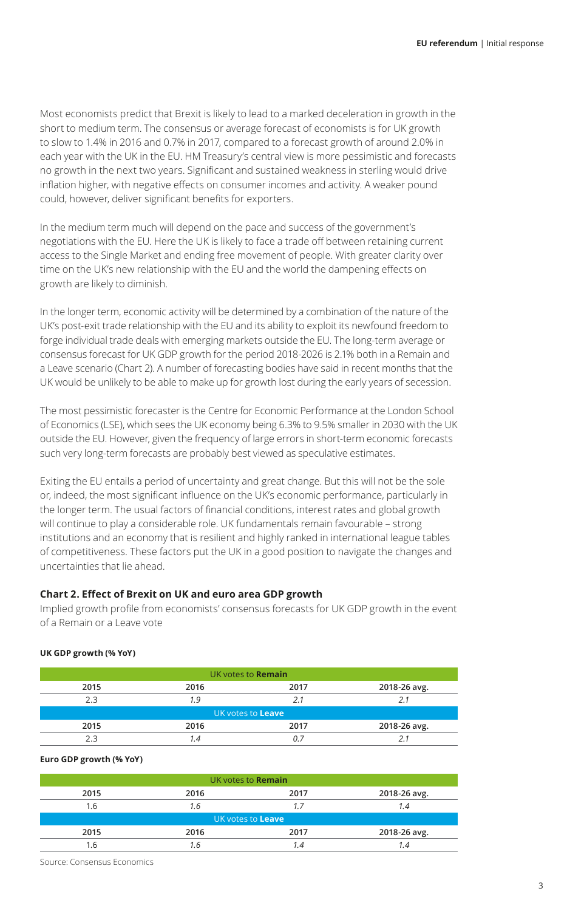Most economists predict that Brexit is likely to lead to a marked deceleration in growth in the short to medium term. The consensus or average forecast of economists is for UK growth to slow to 1.4% in 2016 and 0.7% in 2017, compared to a forecast growth of around 2.0% in each year with the UK in the EU. HM Treasury's central view is more pessimistic and forecasts no growth in the next two years. Significant and sustained weakness in sterling would drive inflation higher, with negative effects on consumer incomes and activity. A weaker pound could, however, deliver significant benefits for exporters.

In the medium term much will depend on the pace and success of the government's negotiations with the EU. Here the UK is likely to face a trade off between retaining current access to the Single Market and ending free movement of people. With greater clarity over time on the UK's new relationship with the EU and the world the dampening effects on growth are likely to diminish.

In the longer term, economic activity will be determined by a combination of the nature of the UK's post-exit trade relationship with the EU and its ability to exploit its newfound freedom to forge individual trade deals with emerging markets outside the EU. The long-term average or consensus forecast for UK GDP growth for the period 2018-2026 is 2.1% both in a Remain and a Leave scenario (Chart 2). A number of forecasting bodies have said in recent months that the UK would be unlikely to be able to make up for growth lost during the early years of secession.

The most pessimistic forecaster is the Centre for Economic Performance at the London School of Economics (LSE), which sees the UK economy being 6.3% to 9.5% smaller in 2030 with the UK outside the EU. However, given the frequency of large errors in short-term economic forecasts such very long-term forecasts are probably best viewed as speculative estimates.

Exiting the EU entails a period of uncertainty and great change. But this will not be the sole or, indeed, the most significant influence on the UK's economic performance, particularly in the longer term. The usual factors of financial conditions, interest rates and global growth will continue to play a considerable role. UK fundamentals remain favourable – strong institutions and an economy that is resilient and highly ranked in international league tables of competitiveness. These factors put the UK in a good position to navigate the changes and uncertainties that lie ahead.

#### **Chart 2. Effect of Brexit on UK and euro area GDP growth**

Implied growth profile from economists' consensus forecasts for UK GDP growth in the event of a Remain or a Leave vote

#### **UK GDP growth (% YoY)**

| UK votes to <b>Remain</b> |      |      |              |  |  |
|---------------------------|------|------|--------------|--|--|
| 2015                      | 2016 | 2017 | 2018-26 avg. |  |  |
| 2.3                       | 1.9  | 2.1  | 2.1          |  |  |
| UK votes to Leave         |      |      |              |  |  |
| 2015                      | 2016 | 2017 | 2018-26 avg. |  |  |
|                           | 1.4  | Ω.   |              |  |  |

#### **Euro GDP growth (% YoY)**

| UK votes to <b>Remain</b> |      |      |              |  |  |
|---------------------------|------|------|--------------|--|--|
| 2015                      | 2016 | 2017 | 2018-26 avg. |  |  |
| 1.6                       | 1.6  | 1.7  | 1.4          |  |  |
| UK votes to Leave         |      |      |              |  |  |
| 2015                      | 2016 | 2017 | 2018-26 avg. |  |  |
| 1.6                       | 1.6  | 1.4  | 1.4          |  |  |

Source: Consensus Economics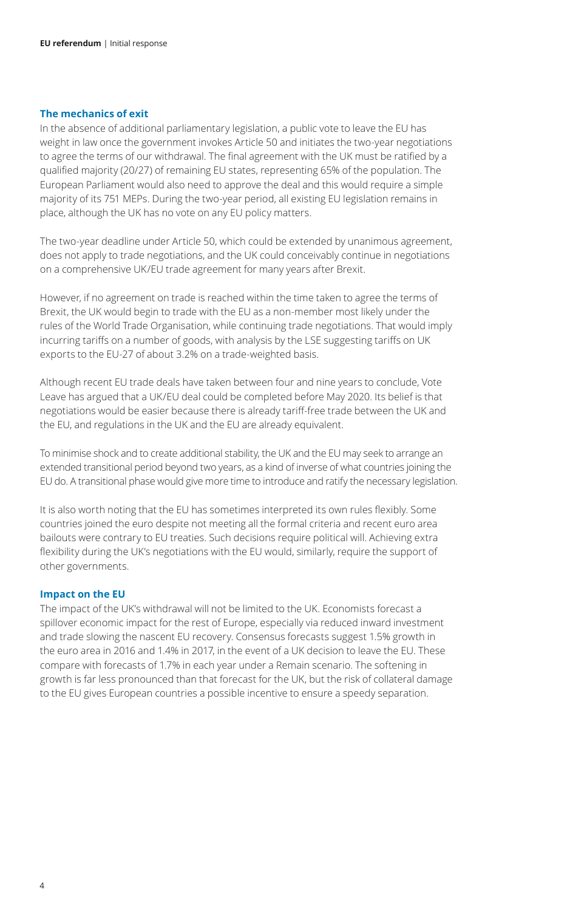#### **The mechanics of exit**

In the absence of additional parliamentary legislation, a public vote to leave the EU has weight in law once the government invokes Article 50 and initiates the two-year negotiations to agree the terms of our withdrawal. The final agreement with the UK must be ratified by a qualified majority (20/27) of remaining EU states, representing 65% of the population. The European Parliament would also need to approve the deal and this would require a simple majority of its 751 MEPs. During the two-year period, all existing EU legislation remains in place, although the UK has no vote on any EU policy matters.

The two-year deadline under Article 50, which could be extended by unanimous agreement, does not apply to trade negotiations, and the UK could conceivably continue in negotiations on a comprehensive UK/EU trade agreement for many years after Brexit.

However, if no agreement on trade is reached within the time taken to agree the terms of Brexit, the UK would begin to trade with the EU as a non-member most likely under the rules of the World Trade Organisation, while continuing trade negotiations. That would imply incurring tariffs on a number of goods, with analysis by the LSE suggesting tariffs on UK exports to the EU-27 of about 3.2% on a trade-weighted basis.

Although recent EU trade deals have taken between four and nine years to conclude, Vote Leave has argued that a UK/EU deal could be completed before May 2020. Its belief is that negotiations would be easier because there is already tariff-free trade between the UK and the EU, and regulations in the UK and the EU are already equivalent.

To minimise shock and to create additional stability, the UK and the EU may seek to arrange an extended transitional period beyond two years, as a kind of inverse of what countries joining the EU do. A transitional phase would give more time to introduce and ratify the necessary legislation.

It is also worth noting that the EU has sometimes interpreted its own rules flexibly. Some countries joined the euro despite not meeting all the formal criteria and recent euro area bailouts were contrary to EU treaties. Such decisions require political will. Achieving extra flexibility during the UK's negotiations with the EU would, similarly, require the support of other governments.

#### **Impact on the EU**

The impact of the UK's withdrawal will not be limited to the UK. Economists forecast a spillover economic impact for the rest of Europe, especially via reduced inward investment and trade slowing the nascent EU recovery. Consensus forecasts suggest 1.5% growth in the euro area in 2016 and 1.4% in 2017, in the event of a UK decision to leave the EU. These compare with forecasts of 1.7% in each year under a Remain scenario. The softening in growth is far less pronounced than that forecast for the UK, but the risk of collateral damage to the EU gives European countries a possible incentive to ensure a speedy separation.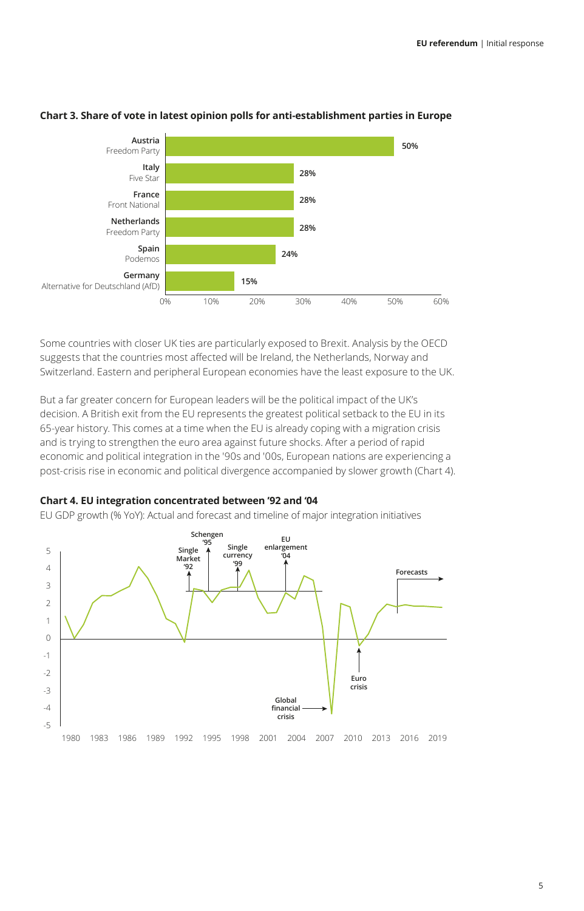

#### **Chart 3. Share of vote in latest opinion polls for anti-establishment parties in Europe**

Some countries with closer UK ties are particularly exposed to Brexit. Analysis by the OECD suggests that the countries most affected will be Ireland, the Netherlands, Norway and Switzerland. Eastern and peripheral European economies have the least exposure to the UK.

But a far greater concern for European leaders will be the political impact of the UK's decision. A British exit from the EU represents the greatest political setback to the EU in its 65-year history. This comes at a time when the EU is already coping with a migration crisis and is trying to strengthen the euro area against future shocks. After a period of rapid economic and political integration in the '90s and '00s, European nations are experiencing a post-crisis rise in economic and political divergence accompanied by slower growth (Chart 4).

#### **Chart 4. EU integration concentrated between '92 and '04**

EU GDP growth (% YoY): Actual and forecast and timeline of major integration initiatives

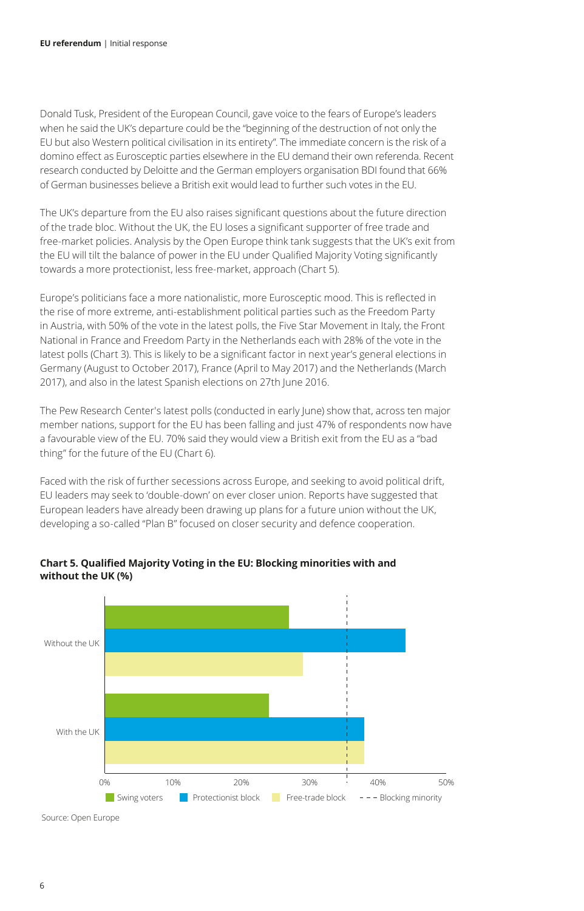Donald Tusk, President of the European Council, gave voice to the fears of Europe's leaders when he said the UK's departure could be the "beginning of the destruction of not only the EU but also Western political civilisation in its entirety". The immediate concern is the risk of a domino effect as Eurosceptic parties elsewhere in the EU demand their own referenda. Recent research conducted by Deloitte and the German employers organisation BDI found that 66% of German businesses believe a British exit would lead to further such votes in the EU.

The UK's departure from the EU also raises significant questions about the future direction of the trade bloc. Without the UK, the EU loses a significant supporter of free trade and free-market policies. Analysis by the Open Europe think tank suggests that the UK's exit from the EU will tilt the balance of power in the EU under Qualified Majority Voting significantly towards a more protectionist, less free-market, approach (Chart 5).

Europe's politicians face a more nationalistic, more Eurosceptic mood. This is reflected in the rise of more extreme, anti-establishment political parties such as the Freedom Party in Austria, with 50% of the vote in the latest polls, the Five Star Movement in Italy, the Front National in France and Freedom Party in the Netherlands each with 28% of the vote in the latest polls (Chart 3). This is likely to be a significant factor in next year's general elections in Germany (August to October 2017), France (April to May 2017) and the Netherlands (March 2017), and also in the latest Spanish elections on 27th June 2016.

The Pew Research Center's latest polls (conducted in early June) show that, across ten major member nations, support for the EU has been falling and just 47% of respondents now have a favourable view of the EU. 70% said they would view a British exit from the EU as a "bad thing" for the future of the EU (Chart 6).

Faced with the risk of further secessions across Europe, and seeking to avoid political drift, EU leaders may seek to 'double-down' on ever closer union. Reports have suggested that European leaders have already been drawing up plans for a future union without the UK, developing a so-called "Plan B" focused on closer security and defence cooperation.



**Chart 5. Qualified Majority Voting in the EU: Blocking minorities with and without the UK (%)**

Source: Open Europe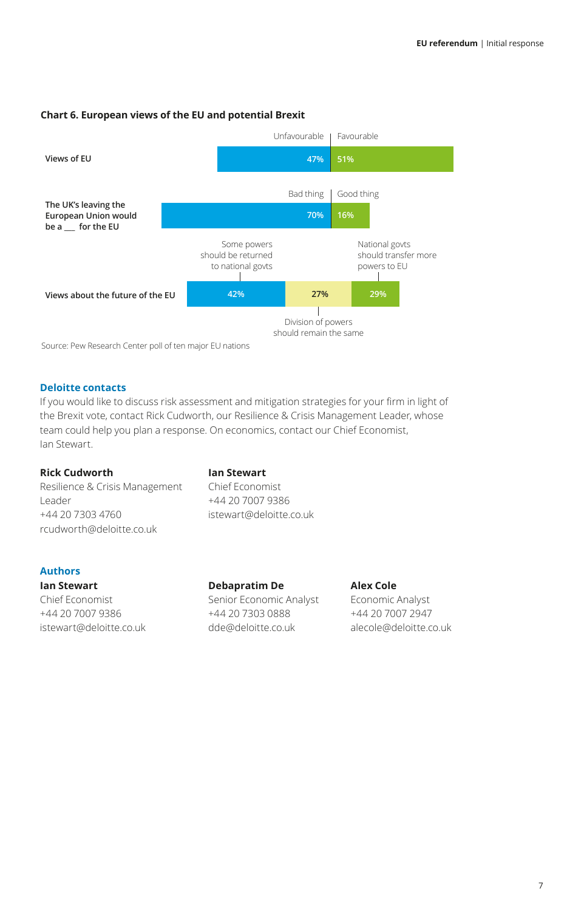#### **Chart 6. European views of the EU and potential Brexit**



Source: Pew Research Center poll of ten major EU nations

#### **Deloitte contacts**

If you would like to discuss risk assessment and mitigation strategies for your firm in light of the Brexit vote, contact Rick Cudworth, our Resilience & Crisis Management Leader, whose team could help you plan a response. On economics, contact our Chief Economist, Ian Stewart.

#### **Rick Cudworth Ian Stewart**

Resilience & Crisis Management Chief Economist Leader +44 20 7007 9386 +44 20 7303 4760 istewart@deloitte.co.uk rcudworth@deloitte.co.uk

#### **Authors**

istewart@deloitte.co.uk dde@deloitte.co.uk alecole@deloitte.co.uk

**Ian Stewart Debapratim De Alex Cole** Chief Economist Senior Economic Analyst Economic Analyst +44 20 7007 9386 +44 20 7303 0888 +44 20 7007 2947